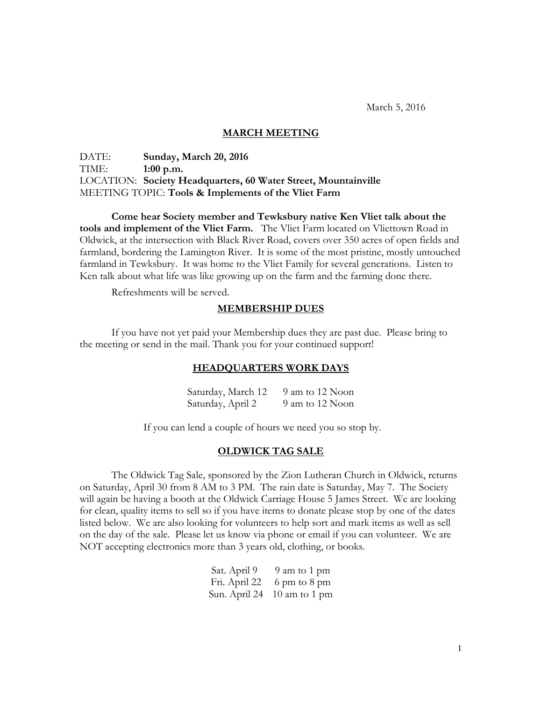March 5, 2016

## **MARCH MEETING**

DATE: **Sunday, March 20, 2016** TIME: **1:00 p.m.** LOCATION: **Society Headquarters, 60 Water Street, Mountainville** MEETING TOPIC: **Tools & Implements of the Vliet Farm**

**Come hear Society member and Tewksbury native Ken Vliet talk about the tools and implement of the Vliet Farm.** The Vliet Farm located on Vliettown Road in Oldwick, at the intersection with Black River Road, covers over 350 acres of open fields and farmland, bordering the Lamington River. It is some of the most pristine, mostly untouched farmland in Tewksbury. It was home to the Vliet Family for several generations. Listen to Ken talk about what life was like growing up on the farm and the farming done there.

Refreshments will be served.

#### **MEMBERSHIP DUES**

If you have not yet paid your Membership dues they are past due. Please bring to the meeting or send in the mail. Thank you for your continued support!

#### **HEADQUARTERS WORK DAYS**

Saturday, March 12 9 am to 12 Noon Saturday, April 2 9 am to 12 Noon

If you can lend a couple of hours we need you so stop by.

## **OLDWICK TAG SALE**

The Oldwick Tag Sale, sponsored by the Zion Lutheran Church in Oldwick, returns on Saturday, April 30 from 8 AM to 3 PM. The rain date is Saturday, May 7. The Society will again be having a booth at the Oldwick Carriage House 5 James Street. We are looking for clean, quality items to sell so if you have items to donate please stop by one of the dates listed below. We are also looking for volunteers to help sort and mark items as well as sell on the day of the sale. Please let us know via phone or email if you can volunteer. We are NOT accepting electronics more than 3 years old, clothing, or books.

| Sat. April 9  | 9 am to 1 pm                |
|---------------|-----------------------------|
| Fri. April 22 | 6 pm to 8 pm                |
|               | Sun. April 24 10 am to 1 pm |